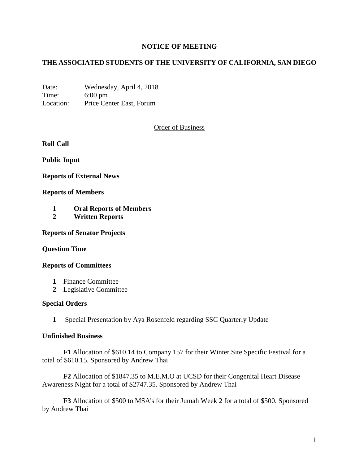# **NOTICE OF MEETING**

# **THE ASSOCIATED STUDENTS OF THE UNIVERSITY OF CALIFORNIA, SAN DIEGO**

Date: Wednesday, April 4, 2018 Time: 6:00 pm Location: Price Center East, Forum

## Order of Business

**Roll Call**

**Public Input**

**Reports of External News**

#### **Reports of Members**

- **1 Oral Reports of Members**
- **2 Written Reports**

**Reports of Senator Projects**

#### **Question Time**

#### **Reports of Committees**

- **1** Finance Committee
- **2** Legislative Committee

### **Special Orders**

**1** Special Presentation by Aya Rosenfeld regarding SSC Quarterly Update

### **Unfinished Business**

**F1** Allocation of \$610.14 to Company 157 for their Winter Site Specific Festival for a total of \$610.15. Sponsored by Andrew Thai

**F2** Allocation of \$1847.35 to M.E.M.O at UCSD for their Congenital Heart Disease Awareness Night for a total of \$2747.35. Sponsored by Andrew Thai

**F3** Allocation of \$500 to MSA's for their Jumah Week 2 for a total of \$500. Sponsored by Andrew Thai